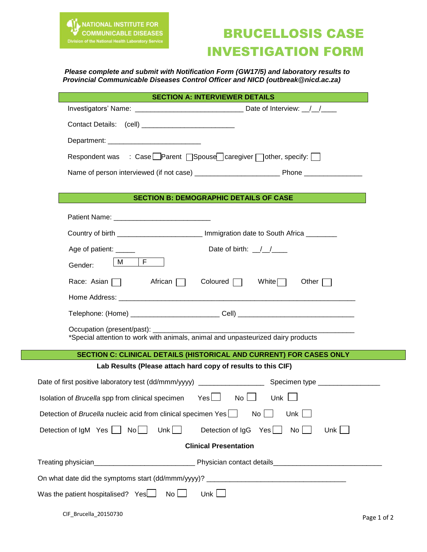

## BRUCELLOSIS CASE INVESTIGATION FORM

## *Please complete and submit with Notification Form (GW17/5) and laboratory results to Provincial Communicable Diseases Control Officer and NICD (outbreak@nicd.ac.za)*

|                                                              | <b>SECTION A: INTERVIEWER DETAILS</b>                                                                                           |  |  |
|--------------------------------------------------------------|---------------------------------------------------------------------------------------------------------------------------------|--|--|
|                                                              |                                                                                                                                 |  |  |
|                                                              |                                                                                                                                 |  |  |
|                                                              |                                                                                                                                 |  |  |
|                                                              | Respondent was : Case Parent $\Box$ Spouse $\Box$ caregiver $\Box$ other, specify:                                              |  |  |
|                                                              |                                                                                                                                 |  |  |
|                                                              |                                                                                                                                 |  |  |
| <b>SECTION B: DEMOGRAPHIC DETAILS OF CASE</b>                |                                                                                                                                 |  |  |
|                                                              |                                                                                                                                 |  |  |
|                                                              | Country of birth _________________________ Immigration date to South Africa _______                                             |  |  |
|                                                              | Date of birth: $\frac{1}{2}$<br>Age of patient: _____                                                                           |  |  |
|                                                              | M F<br>Gender:                                                                                                                  |  |  |
|                                                              | Race: Asian $\Box$ African $\Box$ Coloured $\Box$ White $\Box$<br>Other $\Box$                                                  |  |  |
|                                                              |                                                                                                                                 |  |  |
|                                                              | Telephone: (Home) ____________________________Cell) ____________________________                                                |  |  |
|                                                              | Occupation (present/past): _________                                                                                            |  |  |
|                                                              | *Special attention to work with animals, animal and unpasteurized dairy products                                                |  |  |
|                                                              | SECTION C: CLINICAL DETAILS (HISTORICAL AND CURRENT) FOR CASES ONLY                                                             |  |  |
| Lab Results (Please attach hard copy of results to this CIF) |                                                                                                                                 |  |  |
|                                                              |                                                                                                                                 |  |  |
|                                                              | $Yes \Box \qquad No \Box$<br>Unk $\Box$<br>Isolation of Brucella spp from clinical specimen                                     |  |  |
|                                                              | Detection of Brucella nucleic acid from clinical specimen Yes<br>No <sub>1</sub><br>Unk $\Box$                                  |  |  |
|                                                              | Unk $\Box$<br>Detection of IgM Yes $\Box$ No $\Box$<br>$No$ $\Box$<br>Unk $ $<br>Detection of $\lg G$ Yes $\boxed{\phantom{a}}$ |  |  |
| <b>Clinical Presentation</b>                                 |                                                                                                                                 |  |  |
|                                                              |                                                                                                                                 |  |  |
|                                                              |                                                                                                                                 |  |  |
|                                                              |                                                                                                                                 |  |  |